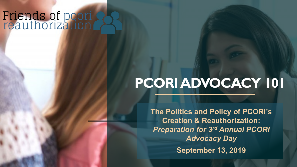## Friends of poori<br>reauthorization

## **PCORIADVOCACY 101**

**The Politics and Policy of PCORI's Creation & Reauthorization:**  *Preparation for 3rd Annual PCORI Advocacy Day*  **September 13, 2019**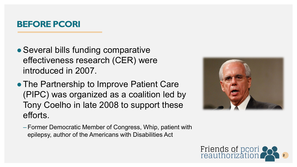#### **BEFORE PCORI**

- Several bills funding comparative effectiveness research (CER) were introduced in 2007.
- The Partnership to Improve Patient Care (PIPC) was organized as a coalition led by Tony Coelho in late 2008 to support these efforts.
	- Former Democratic Member of Congress, Whip, patient with epilepsy, author of the Americans with Disabilities Act



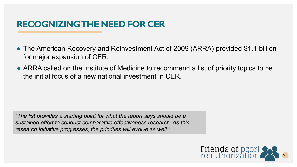#### **RECOGNIZING THE NEED FOR CER**

- The American Recovery and Reinvestment Act of 2009 (ARRA) provided \$1.1 billion for major expansion of CER.
- ARRA called on the Institute of Medicine to recommend a list of priority topics to be the initial focus of a new national investment in CER.

*"The list provides a starting point for what the report says should be a sustained effort to conduct comparative effectiveness research. As this research initiative progresses, the priorities will evolve as well."*

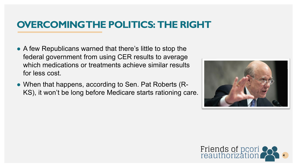## **OVERCOMING THE POLITICS: THE RIGHT**

- A few Republicans warned that there's little to stop the federal government from using CER results to average which medications or treatments achieve similar results for less cost.
- When that happens, according to Sen. Pat Roberts (R-KS), it won't be long before Medicare starts rationing care.



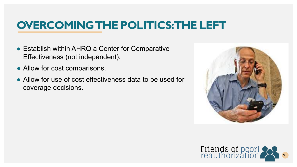## **OVERCOMING THE POLITICS: THE LEFT**

- Establish within AHRQ a Center for Comparative Effectiveness (not independent).
- Allow for cost comparisons.
- Allow for use of cost effectiveness data to be used for coverage decisions.



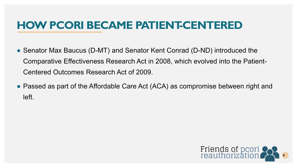## **HOW PCORI BECAME PATIENT-CENTERED**

- Senator Max Baucus (D-MT) and Senator Kent Conrad (D-ND) introduced the Comparative Effectiveness Research Act in 2008, which evolved into the Patient-Centered Outcomes Research Act of 2009.
- Passed as part of the Affordable Care Act (ACA) as compromise between right and left.

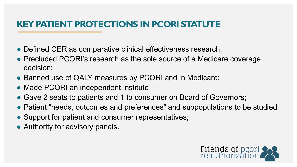#### **KEY PATIENT PROTECTIONS IN PCORI STATUTE**

- Defined CER as comparative clinical effectiveness research;
- Precluded PCORI's research as the sole source of a Medicare coverage decision;
- Banned use of QALY measures by PCORI and in Medicare;
- Made PCORI an independent institute
- Gave 2 seats to patients and 1 to consumer on Board of Governors;
- Patient "needs, outcomes and preferences" and subpopulations to be studied;
- Support for patient and consumer representatives;
- Authority for advisory panels.

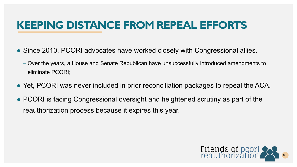## **KEEPING DISTANCE FROM REPEAL EFFORTS**

- Since 2010, PCORI advocates have worked closely with Congressional allies.
	- Over the years, a House and Senate Republican have unsuccessfully introduced amendments to eliminate PCORI;
- Yet, PCORI was never included in prior reconciliation packages to repeal the ACA.
- PCORI is facing Congressional oversight and heightened scrutiny as part of the reauthorization process because it expires this year.

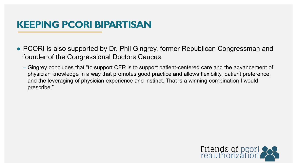## **KEEPING PCORI BIPARTISAN**

- PCORI is also supported by Dr. Phil Gingrey, former Republican Congressman and founder of the Congressional Doctors Caucus
	- Gingrey concludes that "to support CER is to support patient-centered care and the advancement of physician knowledge in a way that promotes good practice and allows flexibility, patient preference, and the leveraging of physician experience and instinct. That is a winning combination I would prescribe."

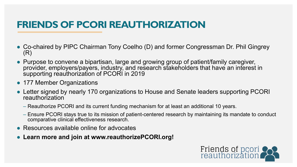## **FRIENDS OF PCORI REAUTHORIZATION**

- Co-chaired by PIPC Chairman Tony Coelho (D) and former Congressman Dr. Phil Gingrey (R)
- Purpose to convene a bipartisan, large and growing group of patient/family caregiver, provider, employers/payers, industry, and research stakeholders that have an interest in supporting reauthorization of PCORI in 2019
- 177 Member Organizations
- Letter signed by nearly 170 organizations to House and Senate leaders supporting PCORI reauthorization
	- Reauthorize PCORI and its current funding mechanism for at least an additional 10 years.
	- Ensure PCORI stays true to its mission of patient-centered research by maintaining its mandate to conduct comparative clinical effectiveness research.
- Resources available online for advocates
- Learn more and join at www.reauthorizePCORI.org!

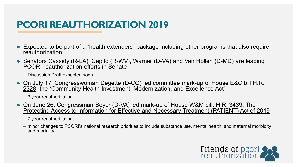## **PCORI REAUTHORIZATION 2019**

- Expected to be part of a "health extenders" package including other programs that also require reauthorization
- Senators Cassidy (R-LA), Capito (R-WV), Warner (D-VA) and Van Hollen (D-MD) are leading PCORI reauthorization efforts in Senate
	- Discussion Draft expected soon
- On July 17, Congresswoman Degette (D-CO) led committee mark-up of House E&C bill H.R. [2328, the "Community Health Investment, Modernization, and Excellence Act"](https://energycommerce.house.gov/sites/democrats.energycommerce.house.gov/files/documents/h2328-ec-fc-ans_01_xml_0.pdf)
	- 3 year reauthorization
- On June 26, Congressman Beyer (D-VA) led mark-up of House W&M bill, H.R. 3439, The [Protecting Access to Information for Effective and Necessary Treatment \(PATIENT\) Act of 2019](https://waysandmeans.house.gov/sites/democrats.waysandmeans.house.gov/files/documents/AINS%20to%20PCORI.pdf)
	- 7 year reauthorization;
	- minor changes to PCORI's national research priorities to include substance use, mental health, and maternal morbidity and mortality.

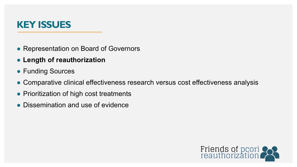### **KEY ISSUES**

- Representation on Board of Governors
- **Length of reauthorization**
- Funding Sources
- Comparative clinical effectiveness research versus cost effectiveness analysis
- Prioritization of high cost treatments
- Dissemination and use of evidence

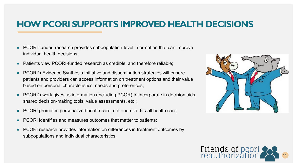#### **HOW PCORI SUPPORTS IMPROVED HEALTH DECISIONS**

- PCORI-funded research provides subpopulation-level information that can improve individual health decisions;
- Patients view PCORI-funded research as credible, and therefore reliable;
- PCORI's Evidence Synthesis Initiative and dissemination strategies will ensure patients and providers can access information on treatment options and their value based on personal characteristics, needs and preferences;
- PCORI's work gives us information (including PCOR) to incorporate in decision aids, shared decision-making tools, value assessments, etc.;
- PCORI promotes personalized health care, not one-size-fits-all health care;
- PCORI identifies and measures outcomes that matter to patients;
- PCORI research provides information on differences in treatment outcomes by subpopulations and individual characteristics.



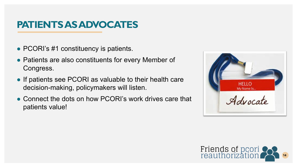## **PATIENTS AS ADVOCATES**

- PCORI's #1 constituency is patients.
- Patients are also constituents for every Member of Congress.
- If patients see PCORI as valuable to their health care decision-making, policymakers will listen.
- Connect the dots on how PCORI's work drives care that patients value!



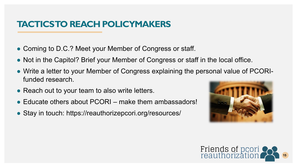#### **TACTICS TO REACH POLICYMAKERS**

- Coming to D.C.? Meet your Member of Congress or staff.
- Not in the Capitol? Brief your Member of Congress or staff in the local office.
- Write a letter to your Member of Congress explaining the personal value of PCORIfunded research.
- Reach out to your team to also write letters.
- $\bullet$  Educate others about PCORI make them ambassadors!
- Stay in touch: https://reauthorizepcori.org/resources/



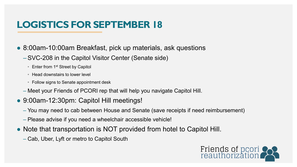## **LOGISTICS FOR SEPTEMBER 18**

- 8:00am-10:00am Breakfast, pick up materials, ask questions
	- –SVC-208 in the Capitol Visitor Center (Senate side)
		- Enter from 1<sup>st</sup> Street by Capitol
		- Head downstairs to lower level
		- Follow signs to Senate appointment desk
	- Meet your Friends of PCORI rep that will help you navigate Capitol Hill.
- 9:00am-12:30pm: Capitol Hill meetings!
	- You may need to cab between House and Senate (save receipts if need reimbursement)
	- Please advise if you need a wheelchair accessible vehicle!
- Note that transportation is NOT provided from hotel to Capitol Hill.
	- Cab, Uber, Lyft or metro to Capitol South

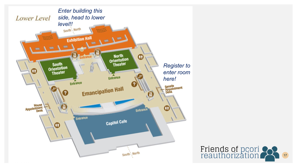

#### Friends of pcori<br>reauthorization 17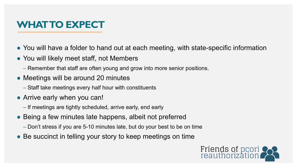## **WHAT TO EXPECT**

- You will have a folder to hand out at each meeting, with state-specific information
- You will likely meet staff, not Members
	- Remember that staff are often young and grow into more senior positions.
- Meetings will be around 20 minutes
	- Staff take meetings every half hour with constituents
- Arrive early when you can!
	- If meetings are tightly scheduled, arrive early, end early
- Being a few minutes late happens, albeit not preferred
	- Don't stress if you are 5-10 minutes late, but do your best to be on time
- Be succinct in telling your story to keep meetings on time

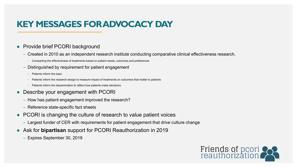#### **KEY MESSAGES FOR ADVOCACY DAY**

#### ● Provide brief PCORI background

- Created in 2010 as an independent research institute conducting comparative clinical effectiveness research.
	- Comparting the effectiveness of treatments based on patient needs, outcomes and preferences
- Distinguished by requirement for patient engagement
	- Patients inform the topic
	- Patients inform the research design to measure impact of treatments on outcomes that matter to patients
	- Patients inform the dissemination to reflect how patients make decisions
- Describe your engagement with PCORI
	- How has patient engagement improved the research?
	- Reference state-specific fact sheets
- PCORI is changing the culture of research to value patient voices
	- Largest funder of CER with requirements for patient engagement that drive culture change
- Ask for **bipartisan** support for PCORI Reauthorization in 2019
	- Expires September 30, 2019

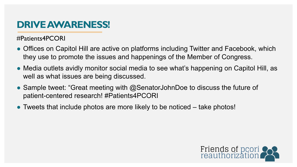## **DRIVE AWARENESS!**

#Patients4PCORI

- Offices on Capitol Hill are active on platforms including Twitter and Facebook, which they use to promote the issues and happenings of the Member of Congress.
- Media outlets avidly monitor social media to see what's happening on Capitol Hill, as well as what issues are being discussed.
- Sample tweet: "Great meeting with  $@$ SenatorJohnDoe to discuss the future of patient-centered research! #Patients4PCORI
- Tweets that include photos are more likely to be noticed take photos!

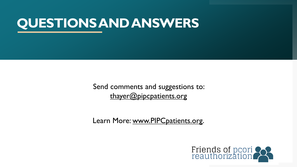## **QUESTIONS AND ANSWERS**

Send comments and suggestions to: [thayer@pipcpatients.org](mailto:thayer@pipcpatients.org)

Learn More: [www.PIPCpatients.org.](http://www.pipcpatients.org/)